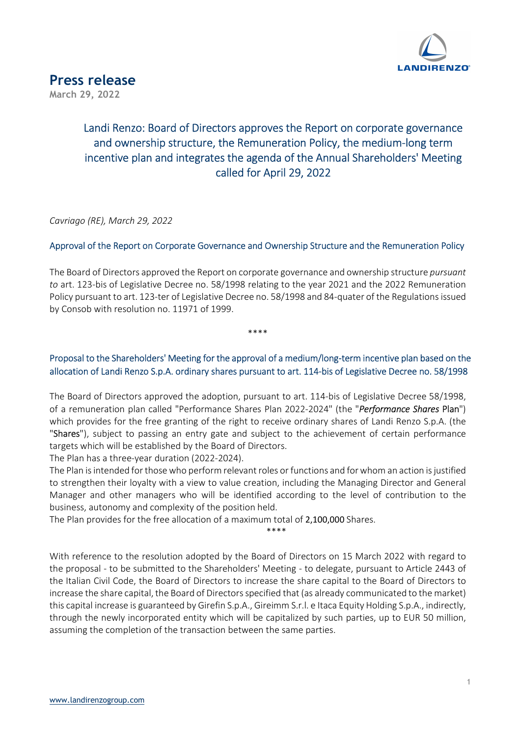

## Landi Renzo: Board of Directors approves the Report on corporate governance and ownership structure, the Remuneration Policy, the medium-long term incentive plan and integrates the agenda of the Annual Shareholders' Meeting called for April 29, 2022

Cavriago (RE), March 29, 2022

### Approval of the Report on Corporate Governance and Ownership Structure and the Remuneration Policy

The Board of Directors approved the Report on corporate governance and ownership structure *pursuant* to art. 123-bis of Legislative Decree no. 58/1998 relating to the year 2021 and the 2022 Remuneration Policy pursuant to art. 123-ter of Legislative Decree no. 58/1998 and 84-quater of the Regulations issued by Consob with resolution no. 11971 of 1999.

\*\*\*\*

Proposal to the Shareholders' Meeting for the approval of a medium/long-term incentive plan based on the allocation of Landi Renzo S.p.A. ordinary shares pursuant to art. 114-bis of Legislative Decree no. 58/1998

The Board of Directors approved the adoption, pursuant to art. 114-bis of Legislative Decree 58/1998, of a remuneration plan called "Performance Shares Plan 2022-2024" (the "Performance Shares Plan") which provides for the free granting of the right to receive ordinary shares of Landi Renzo S.p.A. (the "Shares"), subject to passing an entry gate and subject to the achievement of certain performance targets which will be established by the Board of Directors.

The Plan has a three-year duration (2022-2024).

The Plan is intended for those who perform relevant roles or functions and for whom an action is justified to strengthen their loyalty with a view to value creation, including the Managing Director and General Manager and other managers who will be identified according to the level of contribution to the business, autonomy and complexity of the position held.

The Plan provides for the free allocation of a maximum total of 2,100,000 Shares.

\*\*\*\*

With reference to the resolution adopted by the Board of Directors on 15 March 2022 with regard to the proposal - to be submitted to the Shareholders' Meeting - to delegate, pursuant to Article 2443 of the Italian Civil Code, the Board of Directors to increase the share capital to the Board of Directors to increase the share capital, the Board of Directors specified that (as already communicated to the market) this capital increase is guaranteed by Girefin S.p.A., Gireimm S.r.l. e Itaca Equity Holding S.p.A., indirectly, through the newly incorporated entity which will be capitalized by such parties, up to EUR 50 million, assuming the completion of the transaction between the same parties.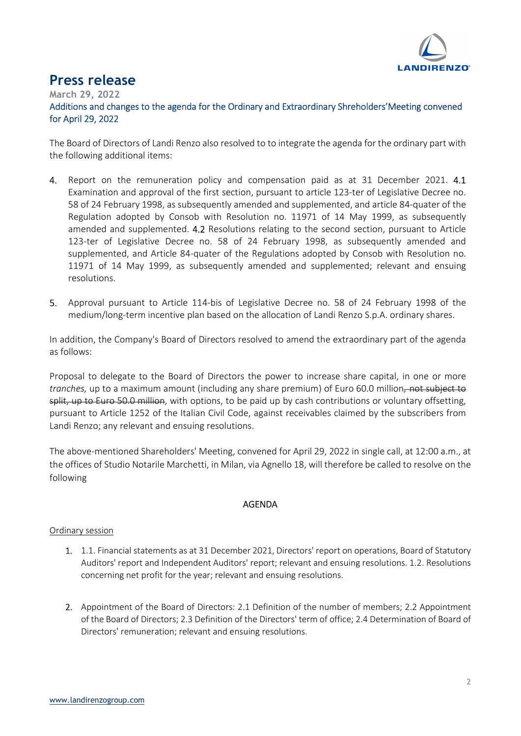

# Press release

March 29, 2022

Additions and changes to the agenda for the Ordinary and Extraordinary Shreholders'Meeting convened for April 29, 2022

The Board of Directors of Landi Renzo also resolved to to integrate the agenda for the ordinary part with the following additional items:

- 4. Report on the remuneration policy and compensation paid as at 31 December 2021. 4.1 Examination and approval of the first section, pursuant to article 123-ter of Legislative Decree no. 58 of 24 February 1998, as subsequently amended and supplemented, and article 84-quater of the Regulation adopted by Consob with Resolution no. 11971 of 14 May 1999, as subsequently amended and supplemented. 4.2 Resolutions relating to the second section, pursuant to Article 123-ter of Legislative Decree no. 58 of 24 February 1998, as subsequently amended and supplemented, and Article 84-quater of the Regulations adopted by Consob with Resolution no. 11971 of 14 May 1999, as subsequently amended and supplemented; relevant and ensuing resolutions.
- 5. Approval pursuant to Article 114-bis of Legislative Decree no. 58 of 24 February 1998 of the medium/long-term incentive plan based on the allocation of Landi Renzo S.p.A. ordinary shares.

In addition, the Company's Board of Directors resolved to amend the extraordinary part of the agenda as follows:

Proposal to delegate to the Board of Directors the power to increase share capital, in one or more tranches, up to a maximum amount (including any share premium) of Euro 60.0 million, not subject to split, up to Euro 50.0 million, with options, to be paid up by cash contributions or voluntary offsetting, pursuant to Article 1252 of the Italian Civil Code, against receivables claimed by the subscribers from Landi Renzo; any relevant and ensuing resolutions.

The above-mentioned Shareholders' Meeting, convened for April 29, 2022 in single call, at 12:00 a.m., at the offices of Studio Notarile Marchetti, in Milan, via Agnello 18, will therefore be called to resolve on the following

### AGENDA

#### Ordinary session

- 1. 1.1. Financial statements as at 31 December 2021, Directors' report on operations, Board of Statutory Auditors' report and Independent Auditors' report; relevant and ensuing resolutions. 1.2. Resolutions concerning net profit for the year; relevant and ensuing resolutions.
- 2. Appointment of the Board of Directors: 2.1 Definition of the number of members; 2.2 Appointment of the Board of Directors; 2.3 Definition of the Directors' term of office; 2.4 Determination of Board of Directors' remuneration; relevant and ensuing resolutions.